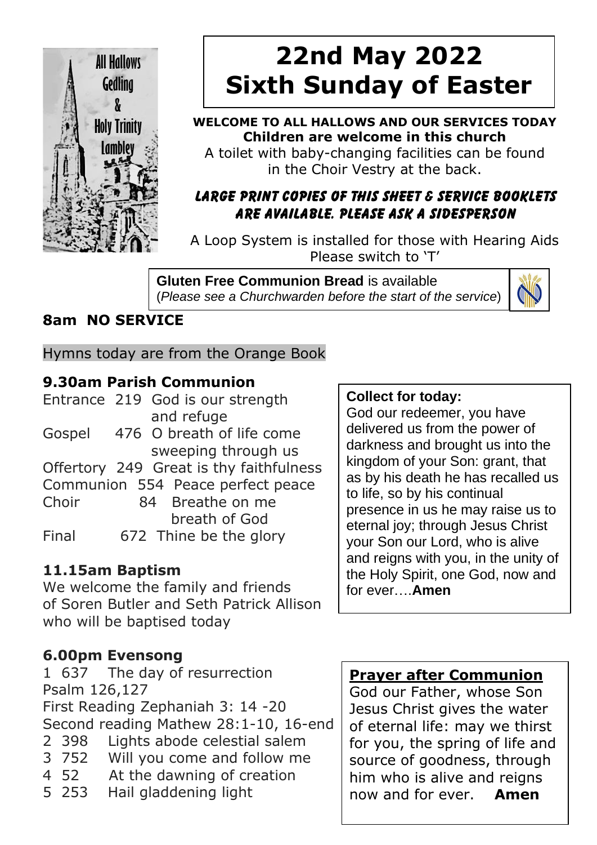

# **22nd May 2022 Sixth Sunday of Easter**

#### **WELCOME TO ALL HALLOWS AND OUR SERVICES TODAY Children are welcome in this church**

A toilet with baby-changing facilities can be found in the Choir Vestry at the back.

#### **LARGE PRINT COPIES OF THIS SHEET & SERVICE BOOKLETS ARE AVAILABLE. PLEASE ASK A SIDESPERSON**

A Loop System is installed for those with Hearing Aids Please switch to 'T'

**Gluten Free Communion Bread** is available (*Please see a Churchwarden before the start of the service*)



# **8am NO SERVICE**

Hymns today are from the Orange Book

#### **9.30am Parish Communion**

|        | Entrance 219 God is our strength        |  |  |
|--------|-----------------------------------------|--|--|
|        | and refuge                              |  |  |
| Gospel | 476 O breath of life come               |  |  |
|        | sweeping through us                     |  |  |
|        | Offertory 249 Great is thy faithfulness |  |  |
|        | Communion 554 Peace perfect peace       |  |  |
| Choir  | 84 Breathe on me                        |  |  |
|        | breath of God                           |  |  |
| Final  | 672 Thine be the glory                  |  |  |
|        |                                         |  |  |

#### **11.15am Baptism**

We welcome the family and friends of Soren Butler and Seth Patrick Allison who will be baptised today

#### **6.00pm Evensong**

 637 The day of resurrection Psalm 126,127 First Reading Zephaniah 3: 14 -20 Second reading Mathew 28:1-10, 16-end 398 Lights abode celestial salem 752 Will you come and follow me 52 At the dawning of creation 253 Hail gladdening light

#### **Collect for today:**

God our redeemer, you have delivered us from the power of darkness and brought us into the kingdom of your Son: grant, that as by his death he has recalled us to life, so by his continual presence in us he may raise us to eternal joy; through Jesus Christ your Son our Lord, who is alive and reigns with you, in the unity of the Holy Spirit, one God, now and for ever….**Amen**

#### **Prayer after Communion**

God our Father, whose Son Jesus Christ gives the water of eternal life: may we thirst for you, the spring of life and source of goodness, through him who is alive and reigns now and for ever. **Amen**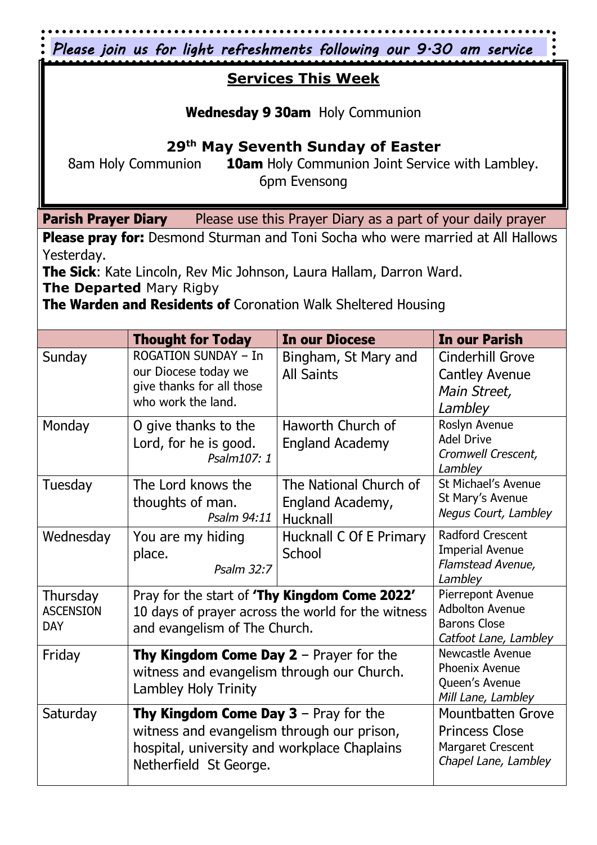|                                                                                                                                                                              |                                                                                                                                                                      | Please join us for light refreshments following our 9.30 am service                            |                                                                                   |  |  |
|------------------------------------------------------------------------------------------------------------------------------------------------------------------------------|----------------------------------------------------------------------------------------------------------------------------------------------------------------------|------------------------------------------------------------------------------------------------|-----------------------------------------------------------------------------------|--|--|
| <b>Services This Week</b>                                                                                                                                                    |                                                                                                                                                                      |                                                                                                |                                                                                   |  |  |
| <b>Wednesday 9 30am</b> Holy Communion                                                                                                                                       |                                                                                                                                                                      |                                                                                                |                                                                                   |  |  |
| 29 <sup>th</sup> May Seventh Sunday of Easter                                                                                                                                |                                                                                                                                                                      |                                                                                                |                                                                                   |  |  |
| <b>10am</b> Holy Communion Joint Service with Lambley.<br>8am Holy Communion<br>6pm Evensong                                                                                 |                                                                                                                                                                      |                                                                                                |                                                                                   |  |  |
|                                                                                                                                                                              |                                                                                                                                                                      |                                                                                                |                                                                                   |  |  |
| <b>Parish Prayer Diary</b><br>Please use this Prayer Diary as a part of your daily prayer<br>Please pray for: Desmond Sturman and Toni Socha who were married at All Hallows |                                                                                                                                                                      |                                                                                                |                                                                                   |  |  |
| Yesterday.                                                                                                                                                                   |                                                                                                                                                                      |                                                                                                |                                                                                   |  |  |
| <b>The Sick:</b> Kate Lincoln, Rev Mic Johnson, Laura Hallam, Darron Ward.<br>The Departed Mary Rigby                                                                        |                                                                                                                                                                      |                                                                                                |                                                                                   |  |  |
| The Warden and Residents of Coronation Walk Sheltered Housing                                                                                                                |                                                                                                                                                                      |                                                                                                |                                                                                   |  |  |
|                                                                                                                                                                              | <b>Thought for Today</b>                                                                                                                                             | In our Diocese                                                                                 | <b>In our Parish</b>                                                              |  |  |
| Sunday                                                                                                                                                                       | <b>ROGATION SUNDAY - In</b><br>our Diocese today we<br>give thanks for all those<br>who work the land.                                                               | Bingham, St Mary and<br><b>All Saints</b>                                                      | <b>Cinderhill Grove</b><br><b>Cantley Avenue</b><br>Main Street,<br>Lambley       |  |  |
| Monday                                                                                                                                                                       | O give thanks to the<br>Lord, for he is good.<br>Psalm107: 1                                                                                                         | Haworth Church of<br><b>England Academy</b>                                                    | Roslyn Avenue<br><b>Adel Drive</b><br>Cromwell Crescent,<br>Lambley               |  |  |
| Tuesday                                                                                                                                                                      | The Lord knows the<br>thoughts of man.<br>Psalm 94:11                                                                                                                | The National Church of<br>England Academy,<br>Hucknall                                         | St Michael's Avenue<br>St Mary's Avenue<br>Negus Court, Lambley                   |  |  |
| Wednesday                                                                                                                                                                    | You are my hiding<br>place.<br>Psalm 32:7                                                                                                                            | Hucknall C Of E Primary<br>School                                                              | <b>Radford Crescent</b><br><b>Imperial Avenue</b><br>Flamstead Avenue,<br>Lambley |  |  |
| Thursday<br><b>ASCENSION</b><br><b>DAY</b>                                                                                                                                   | Pray for the start of <b>'Thy Kingdom Come 2022'</b><br>10 days of prayer across the world for the witness<br>and evangelism of The Church.                          | Pierrepont Avenue<br><b>Adbolton Avenue</b><br><b>Barons Close</b><br>Catfoot Lane, Lambley    |                                                                                   |  |  |
| Friday                                                                                                                                                                       | <b>Thy Kingdom Come Day 2</b> – Prayer for the<br>witness and evangelism through our Church.<br>Lambley Holy Trinity                                                 | Newcastle Avenue<br>Phoenix Avenue<br>Queen's Avenue<br>Mill Lane, Lambley                     |                                                                                   |  |  |
| Saturday                                                                                                                                                                     | <b>Thy Kingdom Come Day 3</b> – Pray for the<br>witness and evangelism through our prison,<br>hospital, university and workplace Chaplains<br>Netherfield St George. | <b>Mountbatten Grove</b><br><b>Princess Close</b><br>Margaret Crescent<br>Chapel Lane, Lambley |                                                                                   |  |  |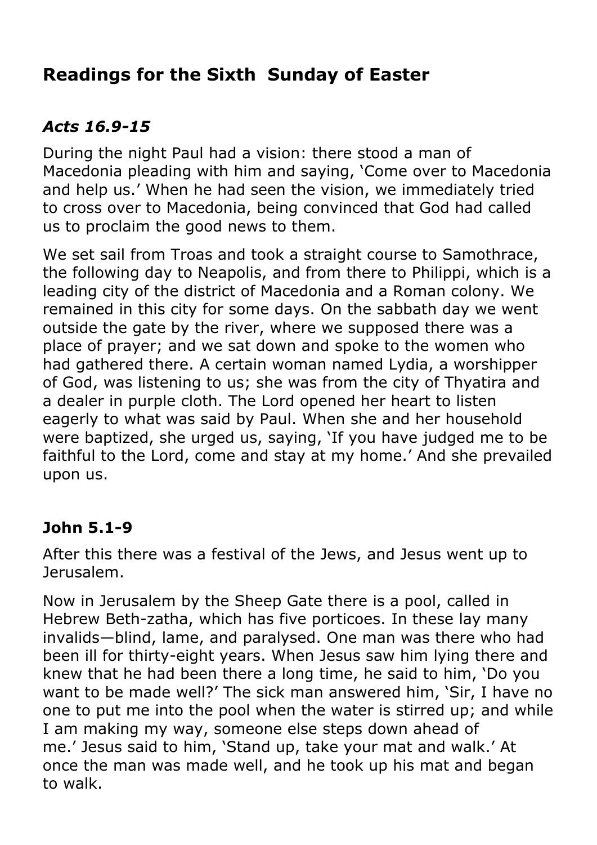# **Readings for the Sixth Sunday of Easter**

# *Acts 16.9-15*

During the night Paul had a vision: there stood a man of Macedonia pleading with him and saying, 'Come over to Macedonia and help us.' When he had seen the vision, we immediately tried to cross over to Macedonia, being convinced that God had called us to proclaim the good news to them.

We set sail from Troas and took a straight course to Samothrace, the following day to Neapolis, and from there to Philippi, which is a leading city of the district of Macedonia and a Roman colony. We remained in this city for some days. On the sabbath day we went outside the gate by the river, where we supposed there was a place of prayer; and we sat down and spoke to the women who had gathered there. A certain woman named Lydia, a worshipper of God, was listening to us; she was from the city of Thyatira and a dealer in purple cloth. The Lord opened her heart to listen eagerly to what was said by Paul. When she and her household were baptized, she urged us, saying, 'If you have judged me to be faithful to the Lord, come and stay at my home.' And she prevailed upon us.

#### **John 5.1-9**

After this there was a festival of the Jews, and Jesus went up to Jerusalem.

Now in Jerusalem by the Sheep Gate there is a pool, called in Hebrew Beth-zatha, which has five porticoes. In these lay many invalids—blind, lame, and paralysed. One man was there who had been ill for thirty-eight years. When Jesus saw him lying there and knew that he had been there a long time, he said to him, 'Do you want to be made well?' The sick man answered him, 'Sir, I have no one to put me into the pool when the water is stirred up; and while I am making my way, someone else steps down ahead of me.' Jesus said to him, 'Stand up, take your mat and walk.' At once the man was made well, and he took up his mat and began to walk.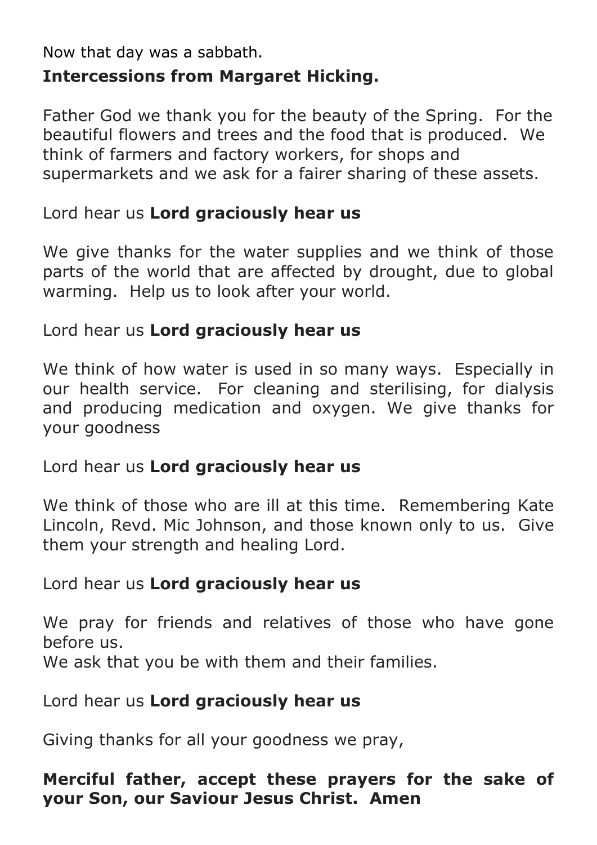Now that day was a sabbath.

# **Intercessions from Margaret Hicking.**

Father God we thank you for the beauty of the Spring. For the beautiful flowers and trees and the food that is produced. We think of farmers and factory workers, for shops and supermarkets and we ask for a fairer sharing of these assets.

#### Lord hear us **Lord graciously hear us**

We give thanks for the water supplies and we think of those parts of the world that are affected by drought, due to global warming. Help us to look after your world.

#### Lord hear us **Lord graciously hear us**

We think of how water is used in so many ways. Especially in our health service. For cleaning and sterilising, for dialysis and producing medication and oxygen. We give thanks for your goodness

#### Lord hear us **Lord graciously hear us**

We think of those who are ill at this time. Remembering Kate Lincoln, Revd. Mic Johnson, and those known only to us. Give them your strength and healing Lord.

#### Lord hear us **Lord graciously hear us**

We pray for friends and relatives of those who have gone before us.

We ask that you be with them and their families.

#### Lord hear us **Lord graciously hear us**

Giving thanks for all your goodness we pray,

#### **Merciful father, accept these prayers for the sake of your Son, our Saviour Jesus Christ. Amen**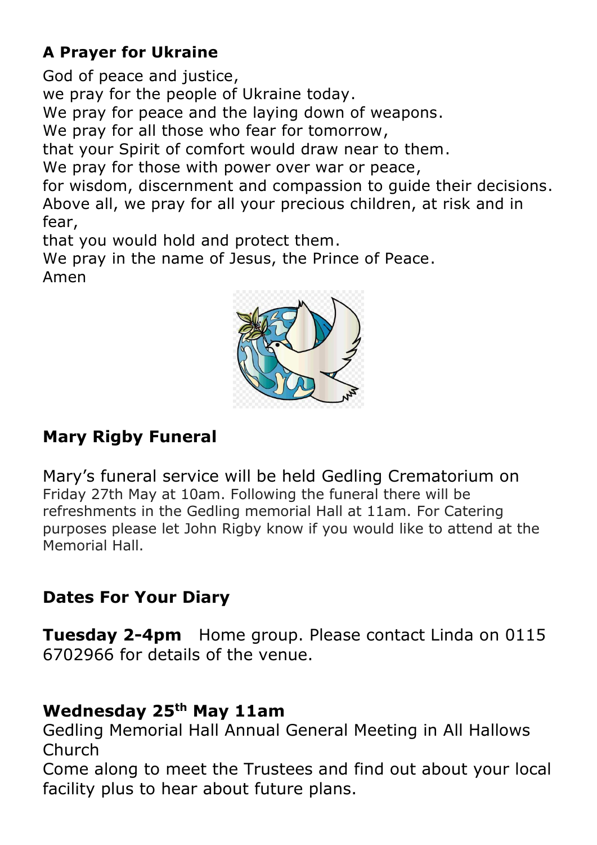# **A Prayer for Ukraine**

God of peace and justice, we pray for the people of Ukraine today. We pray for peace and the laying down of weapons. We pray for all those who fear for tomorrow, that your Spirit of comfort would draw near to them. We pray for those with power over war or peace, for wisdom, discernment and compassion to guide their decisions. Above all, we pray for all your precious children, at risk and in fear,

that you would hold and protect them.

We pray in the name of Jesus, the Prince of Peace. Amen



# **Mary Rigby Funeral**

Mary's funeral service will be held Gedling Crematorium on Friday 27th May at 10am. Following the funeral there will be refreshments in the Gedling memorial Hall at 11am. For Catering purposes please let John Rigby know if you would like to attend at the Memorial Hall.

# **Dates For Your Diary**

**Tuesday 2-4pm** Home group. Please contact Linda on 0115 6702966 for details of the venue.

# **Wednesday 25th May 11am**

Gedling Memorial Hall Annual General Meeting in All Hallows Church

Come along to meet the Trustees and find out about your local facility plus to hear about future plans.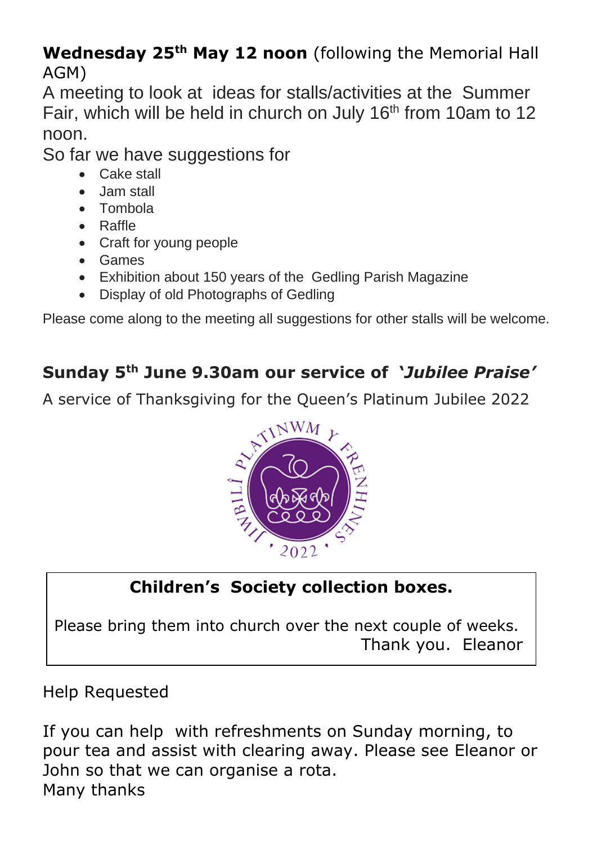# **Wednesday 25th May 12 noon** (following the Memorial Hall AGM)

A meeting to look at ideas for stalls/activities at the Summer Fair, which will be held in church on July 16<sup>th</sup> from 10am to 12 noon.

So far we have suggestions for

- Cake stall
- Jam stall
- Tombola
- Raffle
- Craft for young people
- Games
- Exhibition about 150 years of the Gedling Parish Magazine
- Display of old Photographs of Gedling

Please come along to the meeting all suggestions for other stalls will be welcome.

# **Sunday 5th June 9.30am our service of '***Jubilee Praise'*

A service of Thanksgiving for the Queen's Platinum Jubilee 2022



# **Children's Society collection boxes.**

Please bring them into church over the next couple of weeks. Thank you. Eleanor

# Help Requested

If you can help with refreshments on Sunday morning, to pour tea and assist with clearing away. Please see Eleanor or John so that we can organise a rota. Many thanks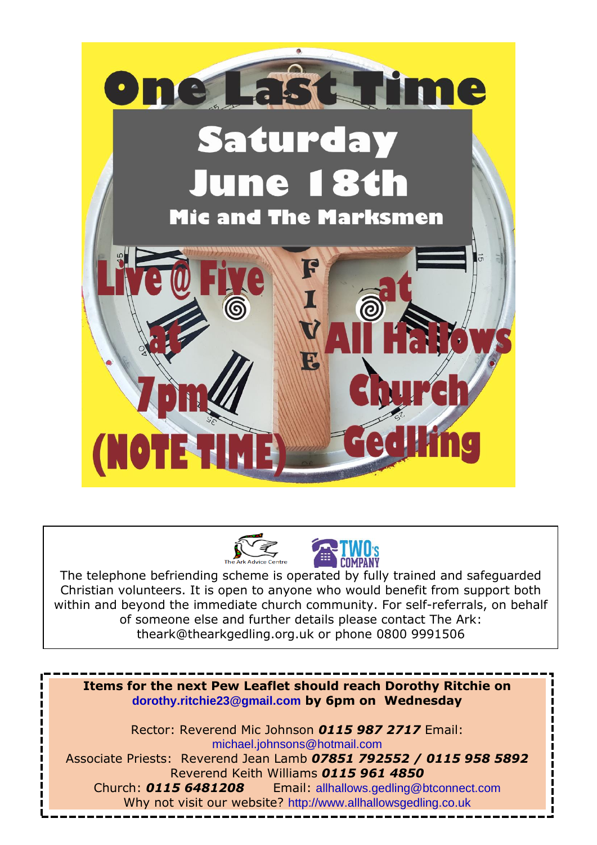





The telephone befriending scheme is operated by fully trained and safeguarded Christian volunteers. It is open to anyone who would benefit from support both within and beyond the immediate church community. For self-referrals, on behalf of someone else and further details please contact The Ark: theark@thearkgedling.org.uk or phone 0800 9991506

**Items for the next Pew Leaflet should reach Dorothy Ritchie on [dorothy.ritchie23@gmail.com](mailto:dorothy.ritchie23@gmail.com) by 6pm on Wednesday**  Rector: Reverend Mic Johnson *0115 987 2717* Email: [michael.johnsons@hotmail.com](mailto:michael.johnsons@hotmail.com) Associate Priests: Reverend Jean Lamb *07851 792552 / 0115 958 5892*

Reverend Keith Williams *0115 961 4850* Church: *0115 6481208* Email: [allhallows.gedling@btconnect.com](mailto:allhallows.gedling@btconnect.com) Why not visit our website? [http://www.allhallowsgedling.co.uk](http://www.allhallowsgedling.co.uk/)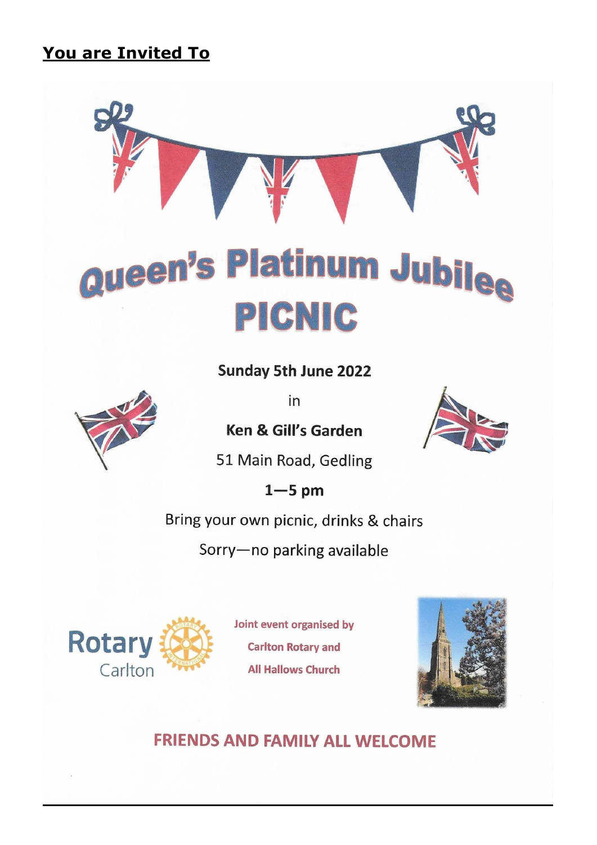# **You are Invited To**



# Queen's Platinum Jubil<sub>ee</sub> PICNIC

**Sunday 5th June 2022** 

in

**Ken & Gill's Garden** 



51 Main Road, Gedling

 $1 - 5$  pm

Bring your own picnic, drinks & chairs

Sorry-no parking available



Joint event organised by **Carlton Rotary and All Hallows Church** 



**FRIENDS AND FAMILY ALL WELCOME**